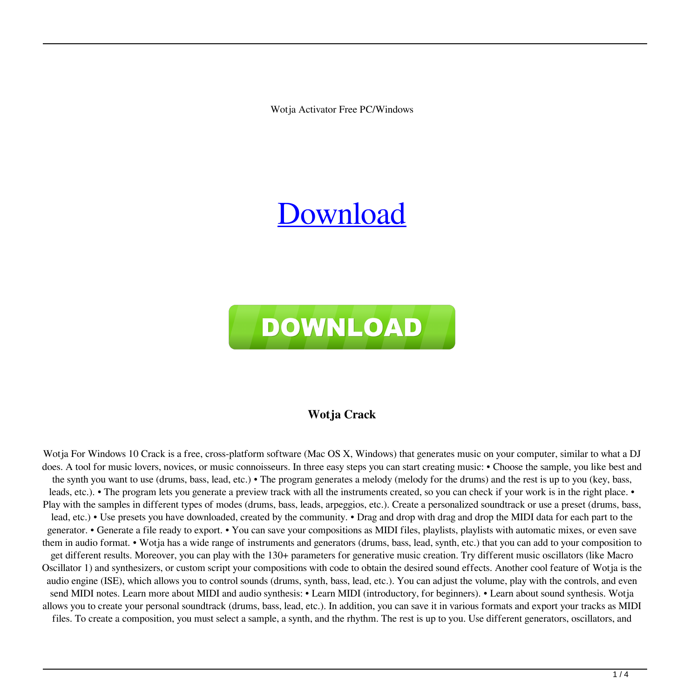Wotja Activator Free PC/Windows

# [Download](http://evacdir.com/?alteration=aspectual.urushiol&V290amEV29=trainees&concede=ZG93bmxvYWR8MlByTTNJemZId3hOalUwTlRJeU1URXdmSHd5TlRrd2ZId29UU2tnVjI5eVpIQnlaWE56SUZ0WVRVeFNVRU1nVmpJZ1VFUkdYUQ)



### **Wotja Crack**

Wotja For Windows 10 Crack is a free, cross-platform software (Mac OS X, Windows) that generates music on your computer, similar to what a DJ does. A tool for music lovers, novices, or music connoisseurs. In three easy steps you can start creating music: • Choose the sample, you like best and the synth you want to use (drums, bass, lead, etc.) • The program generates a melody (melody for the drums) and the rest is up to you (key, bass, leads, etc.). • The program lets you generate a preview track with all the instruments created, so you can check if your work is in the right place. • Play with the samples in different types of modes (drums, bass, leads, arpeggios, etc.). Create a personalized soundtrack or use a preset (drums, bass, lead, etc.) • Use presets you have downloaded, created by the community. • Drag and drop with drag and drop the MIDI data for each part to the generator. • Generate a file ready to export. • You can save your compositions as MIDI files, playlists, playlists with automatic mixes, or even save them in audio format. • Wotja has a wide range of instruments and generators (drums, bass, lead, synth, etc.) that you can add to your composition to get different results. Moreover, you can play with the 130+ parameters for generative music creation. Try different music oscillators (like Macro Oscillator 1) and synthesizers, or custom script your compositions with code to obtain the desired sound effects. Another cool feature of Wotja is the audio engine (ISE), which allows you to control sounds (drums, synth, bass, lead, etc.). You can adjust the volume, play with the controls, and even send MIDI notes. Learn more about MIDI and audio synthesis: • Learn MIDI (introductory, for beginners). • Learn about sound synthesis. Wotja allows you to create your personal soundtrack (drums, bass, lead, etc.). In addition, you can save it in various formats and export your tracks as MIDI files. To create a composition, you must select a sample, a synth, and the rhythm. The rest is up to you. Use different generators, oscillators, and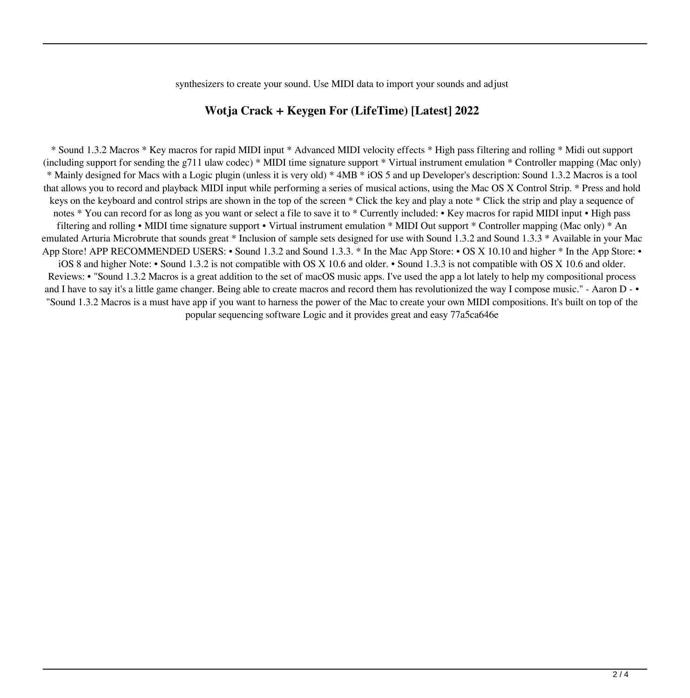synthesizers to create your sound. Use MIDI data to import your sounds and adjust

#### **Wotja Crack + Keygen For (LifeTime) [Latest] 2022**

\* Sound 1.3.2 Macros \* Key macros for rapid MIDI input \* Advanced MIDI velocity effects \* High pass filtering and rolling \* Midi out support (including support for sending the g711 ulaw codec) \* MIDI time signature support \* Virtual instrument emulation \* Controller mapping (Mac only) \* Mainly designed for Macs with a Logic plugin (unless it is very old) \* 4MB \* iOS 5 and up Developer's description: Sound 1.3.2 Macros is a tool that allows you to record and playback MIDI input while performing a series of musical actions, using the Mac OS X Control Strip. \* Press and hold keys on the keyboard and control strips are shown in the top of the screen \* Click the key and play a note \* Click the strip and play a sequence of notes \* You can record for as long as you want or select a file to save it to \* Currently included: • Key macros for rapid MIDI input • High pass filtering and rolling • MIDI time signature support • Virtual instrument emulation \* MIDI Out support \* Controller mapping (Mac only) \* An emulated Arturia Microbrute that sounds great \* Inclusion of sample sets designed for use with Sound 1.3.2 and Sound 1.3.3 \* Available in your Mac App Store! APP RECOMMENDED USERS: • Sound 1.3.2 and Sound 1.3.3. \* In the Mac App Store: • OS X 10.10 and higher \* In the App Store: • iOS 8 and higher Note: • Sound 1.3.2 is not compatible with OS X 10.6 and older. • Sound 1.3.3 is not compatible with OS X 10.6 and older. Reviews: • "Sound 1.3.2 Macros is a great addition to the set of macOS music apps. I've used the app a lot lately to help my compositional process and I have to say it's a little game changer. Being able to create macros and record them has revolutionized the way I compose music." - Aaron D - • "Sound 1.3.2 Macros is a must have app if you want to harness the power of the Mac to create your own MIDI compositions. It's built on top of the popular sequencing software Logic and it provides great and easy 77a5ca646e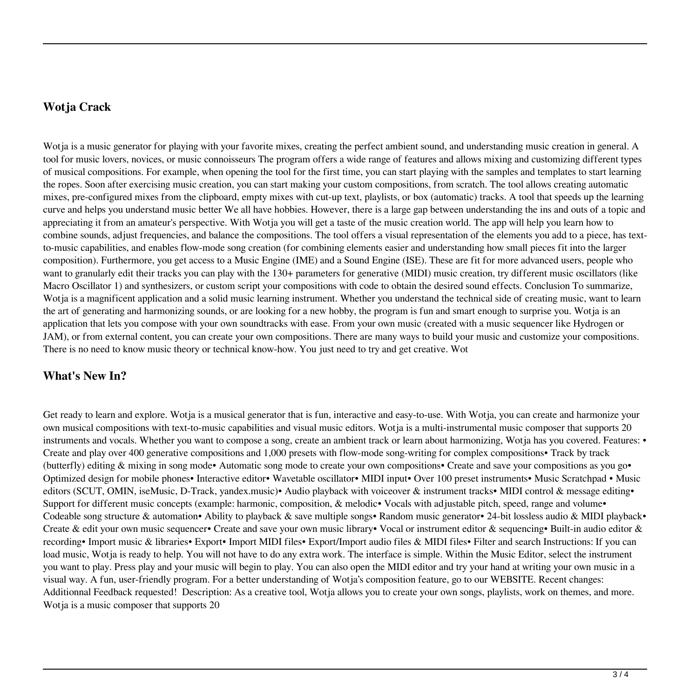### **Wotja Crack**

Wotja is a music generator for playing with your favorite mixes, creating the perfect ambient sound, and understanding music creation in general. A tool for music lovers, novices, or music connoisseurs The program offers a wide range of features and allows mixing and customizing different types of musical compositions. For example, when opening the tool for the first time, you can start playing with the samples and templates to start learning the ropes. Soon after exercising music creation, you can start making your custom compositions, from scratch. The tool allows creating automatic mixes, pre-configured mixes from the clipboard, empty mixes with cut-up text, playlists, or box (automatic) tracks. A tool that speeds up the learning curve and helps you understand music better We all have hobbies. However, there is a large gap between understanding the ins and outs of a topic and appreciating it from an amateur's perspective. With Wotja you will get a taste of the music creation world. The app will help you learn how to combine sounds, adjust frequencies, and balance the compositions. The tool offers a visual representation of the elements you add to a piece, has textto-music capabilities, and enables flow-mode song creation (for combining elements easier and understanding how small pieces fit into the larger composition). Furthermore, you get access to a Music Engine (IME) and a Sound Engine (ISE). These are fit for more advanced users, people who want to granularly edit their tracks you can play with the 130+ parameters for generative (MIDI) music creation, try different music oscillators (like Macro Oscillator 1) and synthesizers, or custom script your compositions with code to obtain the desired sound effects. Conclusion To summarize, Wotja is a magnificent application and a solid music learning instrument. Whether you understand the technical side of creating music, want to learn the art of generating and harmonizing sounds, or are looking for a new hobby, the program is fun and smart enough to surprise you. Wotja is an application that lets you compose with your own soundtracks with ease. From your own music (created with a music sequencer like Hydrogen or JAM), or from external content, you can create your own compositions. There are many ways to build your music and customize your compositions. There is no need to know music theory or technical know-how. You just need to try and get creative. Wot

## **What's New In?**

Get ready to learn and explore. Wotja is a musical generator that is fun, interactive and easy-to-use. With Wotja, you can create and harmonize your own musical compositions with text-to-music capabilities and visual music editors. Wotja is a multi-instrumental music composer that supports 20 instruments and vocals. Whether you want to compose a song, create an ambient track or learn about harmonizing, Wotja has you covered. Features: • Create and play over 400 generative compositions and 1,000 presets with flow-mode song-writing for complex compositions• Track by track (butterfly) editing & mixing in song mode• Automatic song mode to create your own compositions• Create and save your compositions as you go• Optimized design for mobile phones• Interactive editor• Wavetable oscillator• MIDI input• Over 100 preset instruments• Music Scratchpad • Music editors (SCUT, OMIN, iseMusic, D-Track, yandex.music)• Audio playback with voiceover & instrument tracks• MIDI control & message editing• Support for different music concepts (example: harmonic, composition, & melodic• Vocals with adjustable pitch, speed, range and volume• Codeable song structure & automation• Ability to playback & save multiple songs• Random music generator• 24-bit lossless audio & MIDI playback• Create & edit your own music sequencer• Create and save your own music library• Vocal or instrument editor & sequencing• Built-in audio editor & recording• Import music & libraries• Export• Import MIDI files• Export/Import audio files & MIDI files• Filter and search Instructions: If you can load music, Wotja is ready to help. You will not have to do any extra work. The interface is simple. Within the Music Editor, select the instrument you want to play. Press play and your music will begin to play. You can also open the MIDI editor and try your hand at writing your own music in a visual way. A fun, user-friendly program. For a better understanding of Wotja's composition feature, go to our WEBSITE. Recent changes: Additionnal Feedback requested! Description: As a creative tool, Wotja allows you to create your own songs, playlists, work on themes, and more. Wotja is a music composer that supports 20